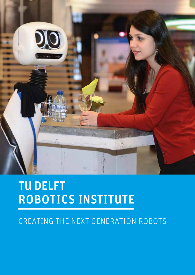

# TU DELFT ROBOTICS INSTITUTE

## CREATING THE NEXT-GENERATION ROBOTS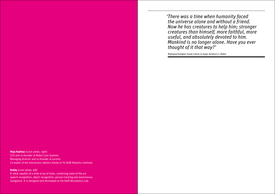*'There was a time when humanity faced the universe alone and without a friend. Now he has creatures to help him; stronger creatures than himself, more faithful, more useful, and absolutely devoted to him. Mankind is no longer alone. Have you ever thought of it that way?'*

Robopsychologist Susan Calvin in Isaac Asimov's *I, Robot*

**Maja Rudinac** *(cover photo, right)* CEO and co-founder at Robot Care Systems Managing director and co-founder at Lerovis Co-leader of the interactive robotics theme at TU Delft Robotics Institute

**Robby** *(cover photo, left)*

A robot capable of a wide array of tasks, combining state-of-the-art speech recognition, object recognition, person tracking and autonomous navigation. It is designed and developed at the Delft Biorobotics Lab.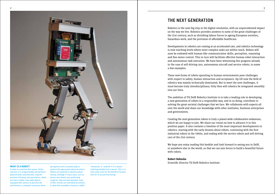

### **WHAT IS A ROBOT?**

A robot is a machine that senses, thinks and acts. It is programmable and performs physical tasks automatically. Long the province of fantasy and speculation, robots are now a reality: man-made objects equipped with sensors to perceive the environment, a computer to process these

perceptions and a versatile body to perform the appropriate physical actions. Robots are expected to operate autonomously, although in many cases, such as drones and robotic arms performing surgeries, they are tele-operated: some of their actions are controlled by humans. A robot that resembles a human is called

'humanoid,' or 'android' if it is almost indistinguishable from a person. This is in most cases more for the benefit of humans than for its actual functioning.

## THE NEXT GENERATION

Robotics is the next big step in the digital revolution, with an unprecedented impact on the way we live. Robotics provides answers to some of the great challenges of the 21st century, such as shrinking labour forces in ageing European societies, hazardous work, and the provision of affordable healthcare.

Developments in robotics are coming at an accelerated rate, and robotics technology is now reaching levels where more complex tasks are within reach. Robots will soon be endowed with human-like communication skills, perception, reasoning and fine motor control. This in turn will facilitate effective human-robot interaction and autonomous task execution. We have been witnessing this progress already in the case of self-driving cars, autonomous aircraft and service robots, to name a few examples.

These new forms of robots operating in human environments pose challenges with respect to safety, human interaction and acceptance. Up till now the field of robotics was mainly technically dominated. But to meet the new challenges, it must become truly interdisciplinary. Only then will robotics be integrated smoothly into our lives.

The ambition of TU Delft Robotics Institute is to take a leading role in developing a new generation of robots in a responsible way, and in so doing, contribute to solving the great societal challenges that we face. We collaborate with experts all over the world and share our knowledge with other institutes, business enterprises and governments.

Creating the next-generation robots is truly a planet-wide collaborative endeavour, which we are happy to join. We share our vision on how to advance it in this position paper. It also contains a timeline of the most important developments in robotics, starting with the early dreams about robots, continuing with the first industrial robots in the 1960s, and ending with the service robots and self-driving cars of the 21st century.

We hope you enjoy reading this booklet and look forward to seeing you in Delft, or anywhere else in the world, so that we can join forces to build a beautiful future with robots.

### **Robert Babuska**

Scientific Director TU Delft Robotics Institute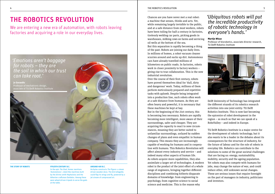We are entering a new era of automation, with robots leaving factories and acquiring a role in our everyday lives.



### **THE STORY OF ROBOTS**

### **9TH/8TH CENTURY B.C.**

In the epic *The Iliad*, Homer mentions *'Automatones'*, robot-like machines built by the divine smith Hephaistos and the Athenian craftsman Daidalos. Among these were wheel-driven tripods to serve the gods at the table.

### **AROUND 400 B.C.**

Archytas constructs *The Pigeon*: a steam driven wooden dove. The bird allegedly could flap its wings and fly, powered by a jet stream of compressed air.

Chances are you have never met a real robot: a machine that senses, thinks and acts. Yet, while remaining largely invisible to the public, and at a safe distance from most workers, robots have been toiling for half a century in factories, tirelessly welding car parts, picking goods in warehouses, milking cows on farms and servicing oil wells at the bottom of the sea.

But this separation is rapidly becoming a thing of the past. Robots are joining our daily lives. In millions of homes, a robot vacuum cleaner scurries around and sucks up dirt. Autonomous cars have already travelled millions of kilometres on public roads. In factories, robots work in closer proximity to factory workers – giving rise to true collaboration. This is the new industrial revolution.

Over the course of their first century, robots have proved themselves ideal for 'dull, dirty and dangerous' work. Today, millions of them perform meticulously prepared and repetitive tasks with aplomb. Despite being integrated into a production line, such robots often work at a safe distance from humans. As they are often heavy and powerful, it is necessary that these machines be kept at bay.

But in the beginning of the 21st century, this is becoming less necessary. Robots are rapidly becoming more intelligent, more aware of their surroundings, safer and cheaper. They are acquiring the capacity to react to new circumstances, meaning they are better suited to unfamiliar surroundings, unfazed by sudden changes of plans and even empathic in human company. This means they are increasingly capable of working for humans and in cooperation with humans. This Robotics Revolution will affect almost every industry and service – and indeed many other aspects of human life. As robots acquire more capabilities, they also assimilate a larger set of technologies. A modern robot is the product of the joint effort of a whole range of engineers, bringing together different disciplines and combining hitherto disparate domains of knowledge: from engineering to psychology, from cognitive science to social science and medicine. This is the reason why

## *'Ubiquitous robots will put the incredible productivity of robotic technology in everyone's hands.'*

### **Martijn Wisse**

Professor of biorobotics, associate director research, TU Delft Robotics Institute



Delft University of Technology has integrated the different strands of its robotics research activities into one joint entity: TU Delft Robotics Institute. This is now fast becoming the epicentre of robot development in the region – so much so that we can speak of a RoboValley – and indeed in Europe.

TU Delft Robotics Institute is a major centre for the development of robotic technology, but it also wants to be a leader in the debates about its consequences for the structure of industry, for the future of labour and for the role of robots in everyday life. Robotics can contribute to the solutions to some of the great societal challenges that are facing us: energy, sustainability, mobility, security and the ageing population. Yet robots may also compete with humans for jobs, may change the nature of war, and could induce other, still unknown social changes. These are serious issues that require foresight on the part of managers in industry, politicians and investors.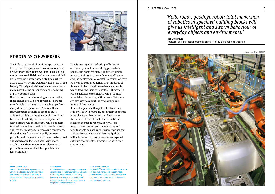## ROBOTS AS CO-WORKERS

The Industrial Revolution of the 19th century brought with it specialised machines, operated by ever more specialised workers. This led to a vastly increased division of labour, exemplified by Henry Ford's iconic assembly lines, where each operation got its own dedicated place in the factory. This rigid division of labour eventually made possible the outsourcing and offshoring of many routine tasks.

Now that robots are becoming more versatile, these trends are all being reversed. There are now flexible machines that are able to perform many different operations. As a result, car manufacturers are able to produce quite different models on the same production lines. Increased flexibility and better cooperation with humans will mean robots will be of more interest to small and medium-size enterprises; and, for that matter, to larger, agile companies, those that need to switch rapidly between projects, and therefore need to have unstructured and changeable factory floors. With more capable machines, outsourcing elements of production becomes both less practical and less profitable.

This is leading to a 'reshoring' of hitherto offshored production – shifting production back to the home market. It is also leading to important shifts in the employment of labour and the deployment of capital. Robotisation may be a way to keep production and standards of living sufficiently high in ageing societies, in which fewer workers are available. It may also bring sustainable technology, which is often more labour-intensive, within reach. Yet there are also worries about the availability and nature of future jobs.

It is still a great challenge to let robots work side-by side with humans, or let them cooperate more closely with other robots. That is why the mantra of one of the Robotics Institute's research themes is robots that work. This research mostly concerns robotic arms and mobile robots as used in factories, warehouses and service vehicles. Scientists equip them with additional hardware sensors and special software that facilitates interaction with their environment.

### **FIRST CENTURY A.D.**

Heron of Alexandria designs and builds various mechanical *automata* ('devices that run by themselves'), including a three-wheeled cart powered by a falling weight.

### **AROUND 800**

Abdullah al-Ma'mun, the caliph of Baghdad, commissions *The Book of Ingenious Devices*. Written by three brothers, collectively known as Banu Musa, it describes more than one hundred devices, among them a couple of automatic machines.

### **EARLY 13TH CENTURY**

Al-Jazari of Persia builds a robotic orchestra of four musicians and a programmable drum machine. He also writes a treatise on automata containing automatic hydraulic and pneumatic devices.

## *'Hello robot, goodbye robot: total immersion of robotics in specified building blocks will give us intelligent and swarm behaviour of everyday objects and environments.'*

### **Kas Oosterhuis**

Professor of digital design methods, associate of TU Delft Robotics Institute

Photo: courtesy of KUKA

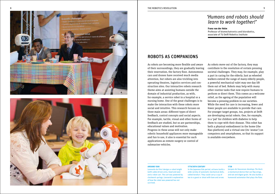



## *'Humans and robots should learn to work together!'*

**Frans van der Helm**

Professor of biomechatronics and biorobotics, associate of TU Delft Robotics Institute

## ROBOTS AS COMPANIONS

As robots are becoming more flexible and aware of their surroundings, they are gradually leaving their reservation, the factory floor. Autonomous cars and drones have received much media attention, but robots are also trickling into operating theatres, logistics services and con struction sites. Our interactive robots research theme aims at assisting humans outside the domain of industrial production, as with, for example, a service robot in a hospital or a nursing home. One of the great challenges is to make the interaction with these robots more social and intuitive. This research focuses on three main areas: different types of direct feedback, control concepts and social aspects. For example, tactile, visual and other forms of feedback are studied, but so are partnerships, educational values and motivation. Progress in these areas will not only make robotic household appliances more manageable and fun to use, it also is essential for such applications as remote surgery or control of submarine vehicles.

As robots move out of the factory, they may contribute to the resolution of certain pressing societal challenges. They may, for example, play a part in caring for the elderly. Just as wheeled walkers extend the range of many elderly people, a powerful mechanical valet may one day lift them out of bed. Robots may help with many other routine tasks that now require humans to perform or direct them. This comes as a welcome relief, as the ageing of the population will become a pressing problem in our societies. While the need for care is increasing, fewer and fewer people are available to provide that care. For younger target groups, too, projects at Delft are developing social robots. One, for example, is a 'pal' for children with diabetes to help them to cope with their disease. This robot has both a physical embodiment in the home (the Nao-platform) and a virtual one (its 'avatar') on computers and smartphones, so that its support is available everywhere.

### **AROUND 1500**

Leonardo da Vinci designs a robot knight (with cable-driven arms, head and jaw) and a robot cart. The cart was powered by clockwork springs; Leonardo's explanation of how the robot was powered has not survived.

### **17TH/18TH CENTURY**

In the Japanese Edo period, artisans build a wide variety of automatic mechanical dolls, called *karakuri*. They could carry a cup of tea to a guest or shoot with bow and arrow.

Jacques de Vaucanson develops *The Duck* : a mechanical device that can flap wings, and eat and digest grain. He also builds a humanoid automaton that plays the flute.

**1738**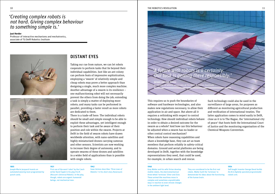## *'Creating complex robots is not hard. Giving complex behaviour to something simple is.'*

**Just Herder**

Professor of interactive mechanisms and mechatronics, associate of TU Delft Robotics Institute





## DISTANT EYES

Taking our cue from nature, we can let robots cooperate to perform tasks that lie beyond their individual capabilities. Just like an ant colony can perform feats of impressive sophistication, employing a 'swarm' of relatively simple and cheap robots may prove a better approach than designing a single, much more complex machine. Another advantage of a swarm is its resilience – one malfunctioning robot will not necessarily prevent the others from doing the job; extending a task is simply a matter of deploying more robots; and many tasks can be performed in parallel, providing a faster result as more robots are dedicated to them.

There is a trade-off here: The individual robots should be small and simple enough to be able to exploit these advantages, yet intelligent enough to perform their task and be aware of their position and role within the swarm. Projects at Delft in the field of swarm robots have drawn worldwide attention, with nano-satellites and highly miniaturised drones carrying cameras and other sensors. Scientists are now working to increase their degree of autonomy, and to operate swarms of these drones and satellites in a wider field of applications than is possible with single robots.

### **1805**

Joseph-Marie Jacquard invents an *automated weaving loom* programmed by punch cards.

### First use of the word *'robot'* by the Czech writer Karel Capek in his play *R.U.R.* (*Rossum's Universal Robots*). In the play, though, robots are organic humanoid beings, not mechanical men.

**1921**

### **1942**

Isaac Asimov describes *'Three Laws of Robotics'* in his short story *Runaround*.

### 10 THE ROBOTICS REVOLUTION THE ROBOTICS REVOLUTION A LOCAL CONTROL AND RESERVENT OF THE ROBOTICS REVOLUTION A LOCAL CONTROL AND RESERVENT OF THE ROBOTICS REVOLUTION AND RESERVENT OF THE ROBOTICS REVOLUTION AND RESERVENT OF THE ROBOTICS REVOLUTION

**Jeroen van den Hoven**



Professor of ethics, associate of TU Delft Robotics Institute

This requires us to push the boundaries of software and hardware technologies, and also makes new regulations necessary, to allow their application in air and space. But above all it requires a rethinking with respect to control technology. How should individual robots behave in order to obtain a desired outcome for the swarm as a whole? And how can this behaviour be adjusted when a swarm has no leader or other central control mechanism? When robots have reasoning capabilities and share a knowledge base, they can act as team members that perform reliably in safety-critical domains. Ground and aerial platforms are being developed in Delft, together with the knowledge representations they need, that could be used, for example, in urban search and rescue.

Such technology could also be used in the surveillance of large areas, for purposes as different as monitoring agricultural production and verification of international treaties. The latter application comes to mind easily in Delft, close as it is to The Hague, the 'international city of peace' that hosts both the International Court of Justice and the monitoring organisation of the Chemical Weapons Convention.

### **1948**

Grey Walter and his wife Vivian develop mobile robots, the electromechanical three-wheel 'tortoises' *Elmer* and *Elsie*. These animal-like machines move in complex and sometimes unpredictable ways in reaction to even minute changes in the ambient light level.

They are considered to be the first real robots. Walter built the 'tortoises' to demonstrate his ideas about the functioning of the human brain.

### **1954**

Self-taught inventor George Devol builds *the first digitally operated programmable robotic arm*.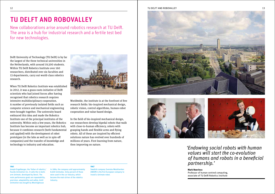New collaborations arise around robotics research at TU Delft. The area is a hub for industrial research and a fertile test bed for new technologies.

Delft University of Technology (TU Delft) is by far the largest of the three technical universities in the Netherlands, with around 19,500 students. Within TU Delft Robotics Institute over 160 researchers, distributed over six faculties and 13 departments, carry out world-class robotics research.

When TU Delft Robotics Institute was established in 2012, it was a grass-roots initiative of Delft scientists who had joined forces after having recognised that robotics research requires intensive multidisciplinary cooperation. A number of previously isolated fields such as computer science and mechanical engineering were brought together. The university board embraced this idea and made the Robotics Institute one of the principal institutes of the university. Within only a few years, the Robotics Institute has become an important robotics hub, because it combines research (both fundamental and applied) with the development of robot prototypes (in the labs as well as in spin-off companies) and the transfer of knowledge and technology to industry and education.



Worldwide, the institute is at the forefront of five research fields: bio-inspired mechanical design, robotic vision, control algorithms, human-robot cooperation and value-based design.

In the field of bio-inspired mechanical design, our researchers develop bipedal robots that walk with close-to-human efficiency, robots with grasping hands and flexible arms and flying robots. All of these are inspired by efficient solutions nature has evolved over hundreds of millions of years. First learning from nature, then improving on nature.





*'Endowing social robots with human values will start the co-evolution of humans and robots in a beneficial partnership.'*

**Mark Neerincx** Professor of human-centred computing, associate of TU Delft Robotics Institute

### **1961**

Joseph Engelberger, the 'father of robotics,' founds Unimation Inc. It sells the ro-botic arm *Unimate*, developed by Devol. The main performance goals are repeatability, precision, adaptability and safety. Until Unimation was bought by Westinghouse

in 1984, the company sold approximately 8,500 Unimates. Sixty percent of those were used in the car industry, which became the main driver of the robotics industry.

### **1967**

Swedish company Svenska Metallverken (ABSM) is the first European company to install a Unimate robot.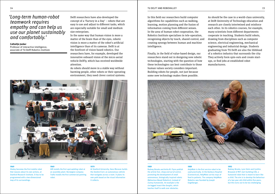In this field our researchers build computer algorithms for capabilities such as walking, learning, motion planning and the fusion of information coming from different senses. In the area of human-robot cooperation, the Robotics Institute specialises in tele-operation, recognising objects by touch, shared control, and creating synergy between human and machine intelligence.

Finally, in the field of value-based design, our researchers stand out in designing new robotic technologies, starting with the question of how

ups, or find jobs at established robot manufacturers.

# these technologies can best contribute to those human values society considers important. Building robots for people, not just because some new technology makes them possible.

**1989**

Engelberger.

Robotics was founded by Joseph

**1989** 

Rodney Brooks and Anita M. Flynn publish the article *Fast, cheap and out of control*, promoting the development of small autonomous, biologically inspired robots (Behaviour-Based Robotics), instead of clumsy humanoids. An example is the six-legged insect-like *Genghis*, which teaches itself to walk over obstacles.

### *HelpMate* is the first service robot to be used practically. In the Danbury Hospital (Connecticut), HelpMate carries trays of food to patients. The company HelpMate **1993** Rodney Brooks, Lynn Stein and Cynthia Breazeal of MIT start building *COG*, a humanoid robot that is meant to learn like a child. The aim is to develop the behaviour of a two year old child within five years, but this turns out to be too challenging.

As should be the case in a world-class university, at Delft University of Technology education and research are closely intertwined and reinforce each other. In its robotics courses, for example, many scientists from different departments cooperate in teaching. Students build robots, drawing from disciplines such as computer science, electrical engineering, mechanical engineering and industrial design. Students graduating from TU Delft are also the lifeblood of a robotics industry that surrounds the city: They actively form spin-outs and create start-



**1969**

### **1969**

*Shakey* becomes the first mobile robot that reasons about its own actions, at Stanford Research Institute. It has to be programmed with a two-dimensional map of its surroundings.

GM installs the first spot-welding robot at an assembly plant. Norwegian company Tralfa installs the first commercial painting robot.

### **1979**

Delft researchers have also developed the concept of a 'Factory in a Day' – robots that are easy to use and adjust to different tasks, which are especially suitable for small and medium

In the same way that human vision is more a matter of the brain than of the eyes, robotic vision is more a matter of the robot's artificial intelligence than of its cameras. Delft is at the forefront of vision-based robotics. Our researchers have, for example, developed the innovative onboard vision of the micro aerial vehicle DelFly, which has received worldwide

As robots should move in a stable way without harming people, other robots or their operating

size enterprises.

attention.

At Stanford University, Hans Moravec builds the *Stanford Cart*, an autonomous vehicle that navigates across a room. It plans its own path based on the visual information it collects.

*'Long-term human-robot* 

*empathy and can help us use our planet sustainably* 

*teamwork requires*

*and comfortably.'*

Professor of interactive intelligence, associate of TU Delft Robotics Institute

**Catholijn Jonker**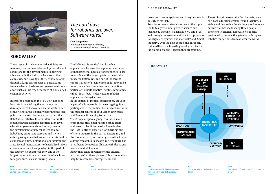

## ROBOVALLEY

## *'The hard days for robotics are over. Software rules!'*

**Koen Langendoen** Professor of embedded software, associate of TU Delft Robotics Institute

These research and commercial activities are necessary, but in themselves not quite sufficient conditions for the development of a thriving, advanced robotics industry. Because of the complexity and novelty of the technology, only through a large critical mass of participants from academia, business and government can an effort such as this reach the stage of a sustained economic activity.

In order to accomplish this, TU Delft Robotics Institute is now taking the next step: the development of RoboValley. As the western part of the Netherlands is quickly becoming the focal point of many robotics-related activities, the RoboValley initiative fosters interaction in the region between academic research, high-level education, governments and enterprises in the development of new robot technology. RoboValley stimulates start-ups and invites existing companies that are active in this field to establish an office, a plant or a laboratory in the area. Several manufacturers of specialised robots already have their headquarters in this part of the country. An example is Lely, one of the largest manufacturers in the world of machines for agriculture, such as milking robots.

The Delft area is an ideal hub for robot applications, because the region has a number of industries that have a strong tendency to use robots. One of the largest ports in the world is in nearby Rotterdam, and one of the largest concentrations of greenhouses in Europe can be found only a few kilometres from there. One particular TU Delft Robotics Institute programme, called 'Smartfood,' is dedicated to robotics applications in agriculture.

In the context of medical applications, TU Delft is part of a European initiative on ageing. It also participates in the Medical Delta, which includes the medical centres of both Leiden University and Erasmus University Rotterdam.

The European space agency, ESA, has a main office in the area. Shell has its headquarters and research facilities nearby. There is also the RDM Centre of Expertise for maritime and offshore industry in the port of Rotterdam, and the former airport, Valkenburg, is destined to be a drone research hub. Meanwhile, Ypenburg has an Airborne Composites Cluster, with the strong involvement of Siemens.

RoboValley takes advantage of the physical proximity of all these players. It is a tremendous help for researchers, entrepreneurs and

**1995** First use by the US military of the remotely piloted aircraft *Predator*.

**1997** First *RoboCup* soccer match played in Japan.

**1999** Sony starts selling the *Aibo* robotic dog.

### 16 TU DELFT AND ROBOVALLEY THE STATE OF THE STATE OF THE STATE OF THE STATE OF THE STATE OF THE STATE OF THE STATE OF THE STATE OF THE STATE OF THE STATE OF THE STATE OF THE STATE OF THE STATE OF THE STATE OF THE STATE OF TU DELFT AND ROBOVALLEY

investors to exchange ideas and bring new robots quickly to market.

Robotics research takes advantage of the support the Dutch government gives to science and technology through its agencies NWO and STW, and through the government's sectoral programs for 'High tech systems and materials' and 'Smart industry'. Over the next decade, the European Union will also be investing heavily in robotics, for example via the Horizon2020 programme.

Thanks to quintessentially Dutch assets, such as a good education system, sound logistics, a stable and favourable fiscal climate and an open culture that has made many Dutch people proficient in English, RoboValley is ideally positioned to become the gateway to European robotics for partners from all over the world.

## ROBOVALLEY



### **2000**

Cynthia Breazeal (MIT) demonstrates *Kismet*, a robot face that expresses emotions.

**2000**

Honda introduces the humanoid robot *Asimo*.

**2000** Introduction of the robotic *Da Vinci surgical system*.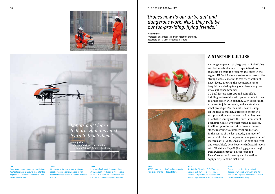



### **2001**

Search and rescue robots such as iRobot's *PackBot* are used at Ground Zero after the September 11 attacks on the World Trade Center in New York.

**2002** iRobot starts the sale of its disc-shaped robotic vacuum cleaner *Roomba*. It will become the most successful domestic robot to date.

### **2002**

First use of military tele-operated robot *PackBot*, built by iRobot, in Afghanistan. PackBot is used for reconnaissance, bomb disposal and other dangerous missions.

## *'Drones now do our dirty, dull and dangerous work. Next, they will be our fun-providing, flying friends.'*

### **Max Mulder**

Professor of aerospace human-machine systems, associate of TU Delft Robotics Institute





**2004** NASA's robot rovers *Spirit* and *Opportunity* start exploring the surface of Mars.

**2004** Start of the EU-project *RobotCub*: the 1-meter-high humanoid robot *iCub* is created as a platform for research into human cognition and artificial intelligence.

### **2005**

Researchers at Delft University of Technology, Cornell University and MIT demonstrate *bipedal robots* that walk with close-to-human efficiency.

## A START-UP CULTURE

A strong component of the growth of RoboValley will be the establishment of specialised firms that spin off from the research institutes in the region. TU Delft Robotics fosters smart use of the strong domestic market to test the viability of novel ideas, allowing the successful ones to be quickly scaled up to a global level and grow into established products.

TU Delft fosters start-ups and spin-offs by building partnerships with potential robot users to link research with demand. Such cooperation may lead to joint research, and eventually a robot prototype. For the next – costly – step on the road to market, a proof of concept in a real production environment, a fund has been established jointly with the Dutch ministry of Economic Affairs. Once that hurdle is cleared, it will be up to the market to finance the next stage: upscaling to commercial production. In the course of the last decade, a number of successful robotics companies have grown out of research at TU Delft: Lacquey (for handling fruit and vegetables), Delft Robotics (industrial robots with 3D vision), Type22 (for luggage handling), Delft Dynamics (robot helicopters) and Fleet Cleaner (hull cleaning and inspection equipment), to name just a few.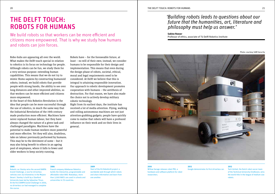## THE DELFT TOUCH: ROBOTS FOR HUMANS

We build robots so that workers can be more efficient and citizens more empowered. That is why we study how humans and robots can join forces.

Robo-hubs are appearing all over the world. What makes the Delft touch special in relation to robotics is its focus on technology for people. Although robots can be fun, we study them for a very serious purpose: extending human capabilities. This means that we do not try to mimic Homo sapiens by constructing humanoid robots; instead, we build robots that provide people with strong hands, the ability to see over long distances and other improved abilities, so that workers can be more efficient and citizens more empowered.

At the heart of this Robotics Revolution is the idea that people can be more successful through the use of robotics, in much the same way that the Industrial Revolution of the 19th century made production more efficient. Machines have never replaced human labour, but they have always changed the nature of a given task and challenged paradigms. Machines have the potential to make human workers more powerful and more effective. Yet they will also, doubtless, take on labour previously performed by humans. This may be to the detriment of some – but it may also bring benefit to others in an ageing pool of employees, where it falls to fewer and older workers to keep society running.

Robots have – for the foreseeable future, at least – no will of their own; instead, we consider humans to be responsible for their design and implementation. This means that even during the design phase of robots, societal, ethical, moral and legal requirements need to be considered. At Delft we believe that this is integral to attaining responsible innovation. Our approach to robotic development promotes cooperation with humans – the antithesis of destruction. For that reason, we have also made the choice not to actively develop military robotic technology.

Right from its earliest days, the institute has received a lot of media attention. Flying, walking and rolling autonomous machines are not just attention-grabbing gadgets; people have quickly come to realise that robots will have a profound influence on their work and on their lives in general.

## *'Building robots leads to questions about our future that the humanities, art, literature and philosophy must help us answer.'*

### **Sabine Roeser**

Professor of ethics, associate of TU Delft Robotics Institute

Photo: courtesy SAM Security



### **2005**

Robotic car *Stanley* wins the second DARPA Grand Challenge, a race for driverless vehicles over 212 kilometres in the Mojave Desert. Stanley is built by a Stanford University team led by Sebastian Thrun. At the first DARPA Grand Challenge in 2004, no driverless car had managed to complete the course.

**2006**

French company Aldebaran Robotics builds the interactive, programmable and affordable robot *NAO*. Nowadays, more than 3,000 NAO's are used in schools and universities in 70 countries.

**2009**

Start of the EU *RoboEarth project*: a worldwide web through which robots and share information and learn from one another.

## Willow Garage releases robot PR2, a

researchers.

hardware and software platform for robot

**2010**

**2012**

Google demonstrates its first driverless car. **2012**

Tech United, the Dutch robot soccer team of the Technical University Eindhoven, wins the world title in the league of medium size robots.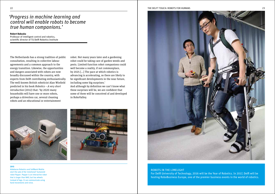## *'Progress in machine learning and control will enable robots to become true human companions.'*

### **Robert Babuska**

Professor of intelligent control and robotics, scientific director of TU Delft Robotics Institute

The Netherlands has a strong tradition of public consultation, resulting in collective labour agreements and a common approach to the energy transition. Likewise, the opportunities and dangers associated with robots are now broadly discussed within the country, with experts from Delft contributing enthusiastically. The well-known British roboticist Alan Winfield predicted in his book Robotics – A very short introduction (2012) that: 'by 2020 many households will have one or more robots, perhaps a driverless car, several cleaning robots and an educational or entertainment

robot. Not many years later and a gardening robot could be taking care of garden weeds and pests. Limited-function robot companions could well become a reality, if not commonplace, by 2025 […] The pace at which robotics is advancing is accelerating, so there are likely to be significant developments in the near future, including some big surprises.' And although by definition we can't know what these surprises will be, we are confident that some of them will be conceived of and developed in RoboValley.





### **2015**

Aldebaran Robotics and SoftBank Mobile start the sale of the 'emotional' humanoid robot *Pepper*. Pepper is an interactive robot that is larger than NAO, but has wheels instead of legs. It can communicate using hand movements and voice.





### ROBOTS IN THE LIMELIGHT

For Delft University of Technology, 2016 will be the Year of Robotics. In 2017, Delft will be hosting RoboBusiness Europe, one of the premier business events in the world of robotics.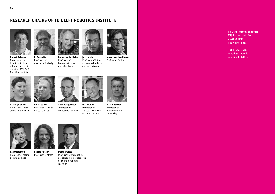## RESEARCH CHAIRS OF TU DELFT ROBOTICS INSTITUTE





Professor of biomechatronics and biorobotics **Jo Geraedts** Professor of mechatronic design

**Frans van der Helm Just Herder** Professor of interactive mechanisms and mechatronics



Professor of ethics

Professor of intelligent control and robotics, scientific director of TU Delft Robotics Institute

**Catholijn Jonker** Professor of interactive intelligence



Professor of visionbased robotics

**Max Mulder** Professor of aerospace humanmachine systems **Koen Langendoen** Professor of embedded software



**Mark Neerincx** Professor of human-centred computing



**Kas Oosterhuis** Professor of digital design methods **Sabine Roeser** Professor of ethics



**Martijn Wisse** Professor of biorobotics, associate director research of TU Delft Robotics Institute



+31 15 760 1616 robotics@tudelft.nl **Jeroen van den Hoven** robotics.tudelft.nl